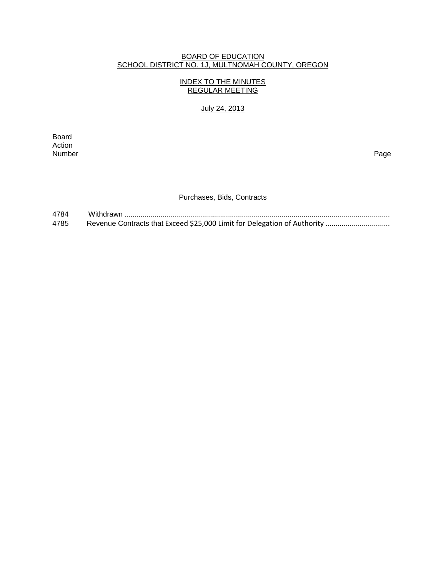## BOARD OF EDUCATION SCHOOL DISTRICT NO. 1J, MULTNOMAH COUNTY, OREGON

# INDEX TO THE MINUTES REGULAR MEETING

# July 24, 2013

**Board Board** Action<br>Number Number Page

## Purchases, Bids, Contracts

| 4784 |                                                                          |
|------|--------------------------------------------------------------------------|
| 4785 | Revenue Contracts that Exceed \$25,000 Limit for Delegation of Authority |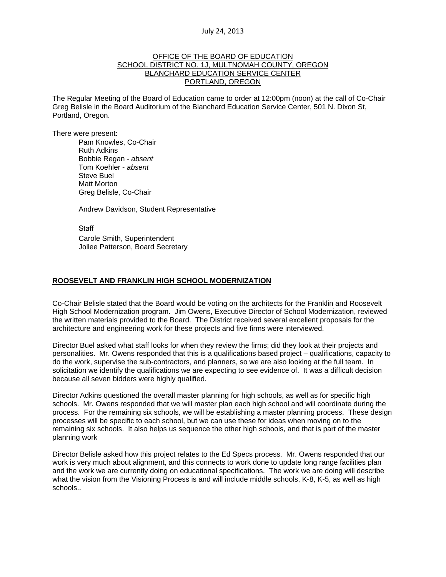### OFFICE OF THE BOARD OF EDUCATION SCHOOL DISTRICT NO. 1J, MULTNOMAH COUNTY, OREGON BLANCHARD EDUCATION SERVICE CENTER PORTLAND, OREGON

The Regular Meeting of the Board of Education came to order at 12:00pm (noon) at the call of Co-Chair Greg Belisle in the Board Auditorium of the Blanchard Education Service Center, 501 N. Dixon St, Portland, Oregon.

There were present: Pam Knowles, Co-Chair

Ruth Adkins Bobbie Regan - *absent* Tom Koehler - *absent* Steve Buel Matt Morton Greg Belisle, Co-Chair

Andrew Davidson, Student Representative

Staff Carole Smith, Superintendent Jollee Patterson, Board Secretary

### **ROOSEVELT AND FRANKLIN HIGH SCHOOL MODERNIZATION**

Co-Chair Belisle stated that the Board would be voting on the architects for the Franklin and Roosevelt High School Modernization program. Jim Owens, Executive Director of School Modernization, reviewed the written materials provided to the Board. The District received several excellent proposals for the architecture and engineering work for these projects and five firms were interviewed.

Director Buel asked what staff looks for when they review the firms; did they look at their projects and personalities. Mr. Owens responded that this is a qualifications based project – qualifications, capacity to do the work, supervise the sub-contractors, and planners, so we are also looking at the full team. In solicitation we identify the qualifications we are expecting to see evidence of. It was a difficult decision because all seven bidders were highly qualified.

Director Adkins questioned the overall master planning for high schools, as well as for specific high schools. Mr. Owens responded that we will master plan each high school and will coordinate during the process. For the remaining six schools, we will be establishing a master planning process. These design processes will be specific to each school, but we can use these for ideas when moving on to the remaining six schools. It also helps us sequence the other high schools, and that is part of the master planning work

Director Belisle asked how this project relates to the Ed Specs process. Mr. Owens responded that our work is very much about alignment, and this connects to work done to update long range facilities plan and the work we are currently doing on educational specifications. The work we are doing will describe what the vision from the Visioning Process is and will include middle schools, K-8, K-5, as well as high schools..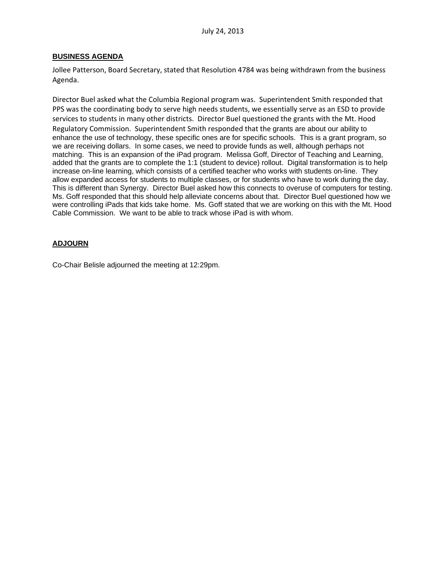## **BUSINESS AGENDA**

Jollee Patterson, Board Secretary, stated that Resolution 4784 was being withdrawn from the business Agenda.

Director Buel asked what the Columbia Regional program was. Superintendent Smith responded that PPS was the coordinating body to serve high needs students, we essentially serve as an ESD to provide services to students in many other districts. Director Buel questioned the grants with the Mt. Hood Regulatory Commission. Superintendent Smith responded that the grants are about our ability to enhance the use of technology, these specific ones are for specific schools. This is a grant program, so we are receiving dollars. In some cases, we need to provide funds as well, although perhaps not matching. This is an expansion of the iPad program. Melissa Goff, Director of Teaching and Learning, added that the grants are to complete the 1:1 (student to device) rollout. Digital transformation is to help increase on-line learning, which consists of a certified teacher who works with students on-line. They allow expanded access for students to multiple classes, or for students who have to work during the day. This is different than Synergy. Director Buel asked how this connects to overuse of computers for testing. Ms. Goff responded that this should help alleviate concerns about that. Director Buel questioned how we were controlling iPads that kids take home. Ms. Goff stated that we are working on this with the Mt. Hood Cable Commission. We want to be able to track whose iPad is with whom.

## **ADJOURN**

Co-Chair Belisle adjourned the meeting at 12:29pm.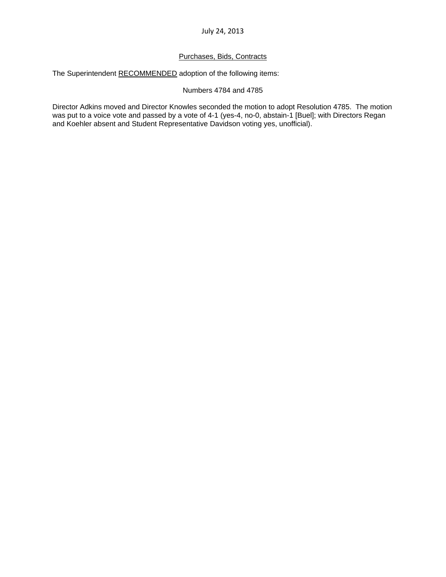## Purchases, Bids, Contracts

The Superintendent RECOMMENDED adoption of the following items:

### Numbers 4784 and 4785

Director Adkins moved and Director Knowles seconded the motion to adopt Resolution 4785. The motion was put to a voice vote and passed by a vote of 4-1 (yes-4, no-0, abstain-1 [Buel]; with Directors Regan and Koehler absent and Student Representative Davidson voting yes, unofficial).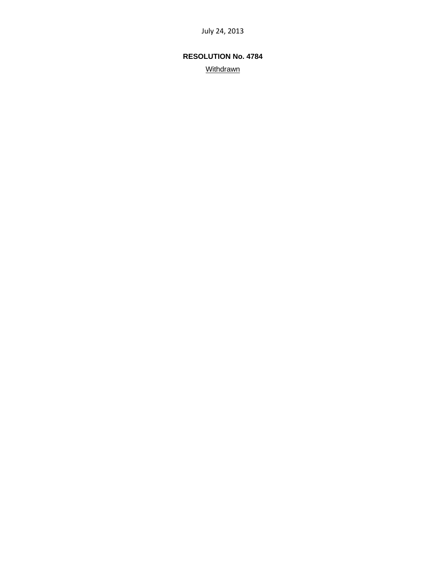# **RESOLUTION No. 4784**

**Withdrawn**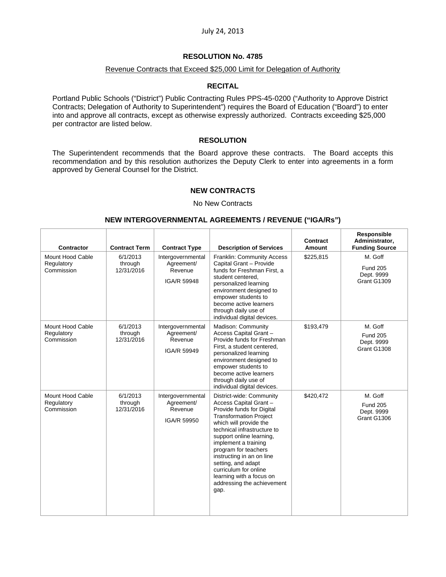## **RESOLUTION No. 4785**

### Revenue Contracts that Exceed \$25,000 Limit for Delegation of Authority

### **RECITAL**

Portland Public Schools ("District") Public Contracting Rules PPS-45-0200 ("Authority to Approve District Contracts; Delegation of Authority to Superintendent") requires the Board of Education ("Board") to enter into and approve all contracts, except as otherwise expressly authorized. Contracts exceeding \$25,000 per contractor are listed below.

### **RESOLUTION**

The Superintendent recommends that the Board approve these contracts. The Board accepts this recommendation and by this resolution authorizes the Deputy Clerk to enter into agreements in a form approved by General Counsel for the District.

### **NEW CONTRACTS**

#### No New Contracts

### **NEW INTERGOVERNMENTAL AGREEMENTS / REVENUE ("IGA/Rs")**

| <b>Contractor</b>                            | <b>Contract Term</b>              | <b>Contract Type</b>                                             | <b>Description of Services</b>                                                                                                                                                                                                                                                                                                                                                                     | Contract<br>Amount | Responsible<br>Administrator,<br><b>Funding Source</b>  |
|----------------------------------------------|-----------------------------------|------------------------------------------------------------------|----------------------------------------------------------------------------------------------------------------------------------------------------------------------------------------------------------------------------------------------------------------------------------------------------------------------------------------------------------------------------------------------------|--------------------|---------------------------------------------------------|
| Mount Hood Cable<br>Regulatory<br>Commission | 6/1/2013<br>through<br>12/31/2016 | Intergovernmental<br>Agreement/<br>Revenue<br>IGA/R 59948        | Franklin: Community Access<br>Capital Grant - Provide<br>funds for Freshman First, a<br>student centered.<br>personalized learning<br>environment designed to<br>empower students to<br>become active learners<br>through daily use of<br>individual digital devices.                                                                                                                              | \$225,815          | M. Goff<br><b>Fund 205</b><br>Dept. 9999<br>Grant G1309 |
| Mount Hood Cable<br>Regulatory<br>Commission | 6/1/2013<br>through<br>12/31/2016 | Intergovernmental<br>Agreement/<br>Revenue<br><b>IGA/R 59949</b> | Madison: Community<br>Access Capital Grant-<br>Provide funds for Freshman<br>First, a student centered,<br>personalized learning<br>environment designed to<br>empower students to<br>become active learners<br>through daily use of<br>individual digital devices.                                                                                                                                | \$193,479          | M. Goff<br><b>Fund 205</b><br>Dept. 9999<br>Grant G1308 |
| Mount Hood Cable<br>Regulatory<br>Commission | 6/1/2013<br>through<br>12/31/2016 | Intergovernmental<br>Agreement/<br>Revenue<br>IGA/R 59950        | District-wide: Community<br>Access Capital Grant-<br>Provide funds for Digital<br><b>Transformation Project</b><br>which will provide the<br>technical infrastructure to<br>support online learning,<br>implement a training<br>program for teachers<br>instructing in an on line<br>setting, and adapt<br>curriculum for online<br>learning with a focus on<br>addressing the achievement<br>gap. | \$420.472          | M. Goff<br><b>Fund 205</b><br>Dept. 9999<br>Grant G1306 |